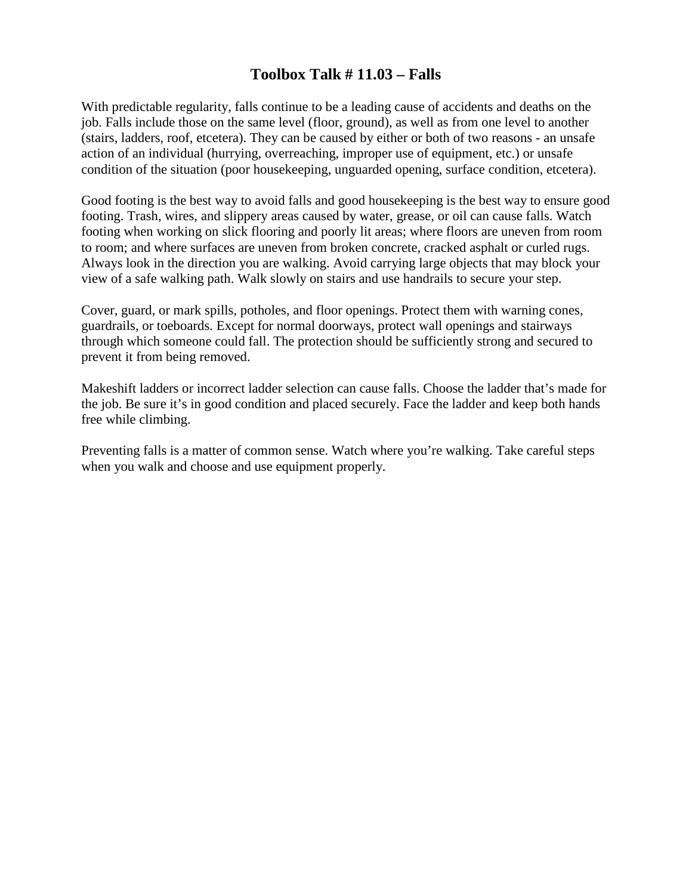## **Toolbox Talk # 11.03 – Falls**

With predictable regularity, falls continue to be a leading cause of accidents and deaths on the job. Falls include those on the same level (floor, ground), as well as from one level to another (stairs, ladders, roof, etcetera). They can be caused by either or both of two reasons - an unsafe action of an individual (hurrying, overreaching, improper use of equipment, etc.) or unsafe condition of the situation (poor housekeeping, unguarded opening, surface condition, etcetera).

Good footing is the best way to avoid falls and good housekeeping is the best way to ensure good footing. Trash, wires, and slippery areas caused by water, grease, or oil can cause falls. Watch footing when working on slick flooring and poorly lit areas; where floors are uneven from room to room; and where surfaces are uneven from broken concrete, cracked asphalt or curled rugs. Always look in the direction you are walking. Avoid carrying large objects that may block your view of a safe walking path. Walk slowly on stairs and use handrails to secure your step.

Cover, guard, or mark spills, potholes, and floor openings. Protect them with warning cones, guardrails, or toeboards. Except for normal doorways, protect wall openings and stairways through which someone could fall. The protection should be sufficiently strong and secured to prevent it from being removed.

Makeshift ladders or incorrect ladder selection can cause falls. Choose the ladder that's made for the job. Be sure it's in good condition and placed securely. Face the ladder and keep both hands free while climbing.

Preventing falls is a matter of common sense. Watch where you're walking. Take careful steps when you walk and choose and use equipment properly.